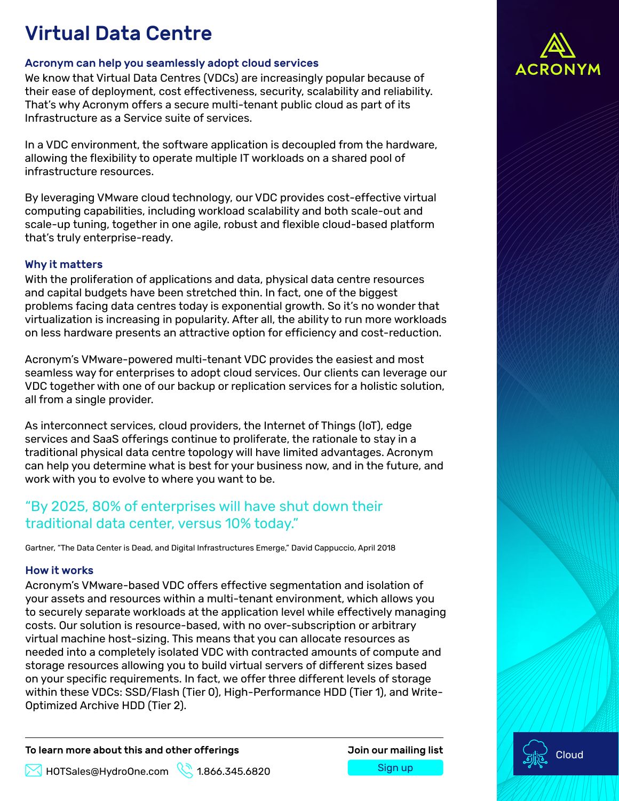## Virtual Data Centre

#### Acronym can help you seamlessly adopt cloud services

We know that Virtual Data Centres (VDCs) are increasingly popular because of their ease of deployment, cost effectiveness, security, scalability and reliability. That's why Acronym offers a secure multi-tenant public cloud as part of its Infrastructure as a Service suite of services.

In a VDC environment, the software application is decoupled from the hardware, allowing the flexibility to operate multiple IT workloads on a shared pool of infrastructure resources.

By leveraging VMware cloud technology, our VDC provides cost-effective virtual computing capabilities, including workload scalability and both scale-out and scale-up tuning, together in one agile, robust and flexible cloud-based platform that's truly enterprise-ready.

#### Why it matters

With the proliferation of applications and data, physical data centre resources and capital budgets have been stretched thin. In fact, one of the biggest problems facing data centres today is exponential growth. So it's no wonder that virtualization is increasing in popularity. After all, the ability to run more workloads on less hardware presents an attractive option for efficiency and cost-reduction.

Acronym's VMware-powered multi-tenant VDC provides the easiest and most seamless way for enterprises to adopt cloud services. Our clients can leverage our VDC together with one of our backup or replication services for a holistic solution, all from a single provider.

As interconnect services, cloud providers, the Internet of Things (IoT), edge services and SaaS offerings continue to proliferate, the rationale to stay in a traditional physical data centre topology will have limited advantages. Acronym can help you determine what is best for your business now, and in the future, and work with you to evolve to where you want to be.

## "By 2025, 80% of enterprises will have shut down their traditional data center, versus 10% today."

Gartner, "The Data Center is Dead, and Digital Infrastructures Emerge," David Cappuccio, April 2018

#### How it works

Acronym's VMware-based VDC offers effective segmentation and isolation of your assets and resources within a multi-tenant environment, which allows you to securely separate workloads at the application level while effectively managing costs. Our solution is resource-based, with no over-subscription or arbitrary virtual machine host-sizing. This means that you can allocate resources as needed into a completely isolated VDC with contracted amounts of compute and storage resources allowing you to build virtual servers of different sizes based on your specific requirements. In fact, we offer three different levels of storage within these VDCs: SSD/Flash (Tier 0), High-Performance HDD (Tier 1), and Write-Optimized Archive HDD (Tier 2).

To learn more about this and other offerings The Manus Join our mailing list